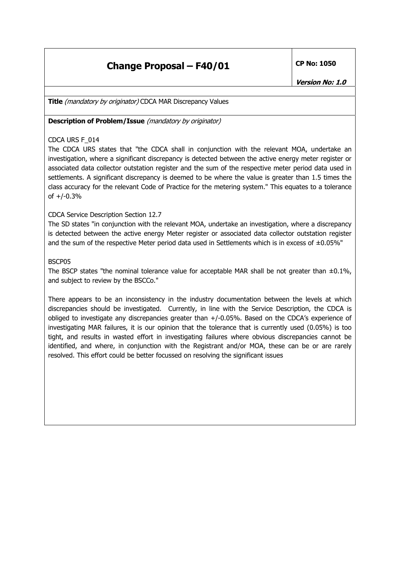## **Change Proposal – F40/01** CP No: 1050

**Title** *(mandatory by originator)* CDCA MAR Discrepancy Values

**Description of Problem/Issue** (mandatory by originator)

### CDCA URS F\_014

The CDCA URS states that "the CDCA shall in conjunction with the relevant MOA, undertake an investigation, where a significant discrepancy is detected between the active energy meter register or associated data collector outstation register and the sum of the respective meter period data used in settlements. A significant discrepancy is deemed to be where the value is greater than 1.5 times the class accuracy for the relevant Code of Practice for the metering system." This equates to a tolerance of +/-0.3%

### CDCA Service Description Section 12.7

The SD states "in conjunction with the relevant MOA, undertake an investigation, where a discrepancy is detected between the active energy Meter register or associated data collector outstation register and the sum of the respective Meter period data used in Settlements which is in excess of  $\pm 0.05\%$ "

#### BSCP05

The BSCP states "the nominal tolerance value for acceptable MAR shall be not greater than  $\pm 0.1\%$ , and subject to review by the BSCCo."

There appears to be an inconsistency in the industry documentation between the levels at which discrepancies should be investigated. Currently, in line with the Service Description, the CDCA is obliged to investigate any discrepancies greater than +/-0.05%. Based on the CDCA's experience of investigating MAR failures, it is our opinion that the tolerance that is currently used (0.05%) is too tight, and results in wasted effort in investigating failures where obvious discrepancies cannot be identified, and where, in conjunction with the Registrant and/or MOA, these can be or are rarely resolved. This effort could be better focussed on resolving the significant issues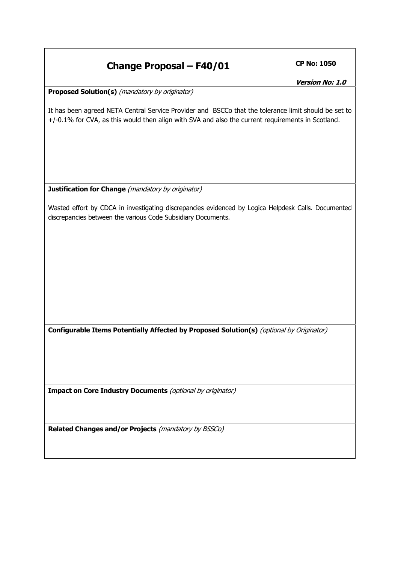# **Change Proposal – F40/01** CP No: 1050

**Version No: 1.0** 

**Proposed Solution(s)** (mandatory by originator)

It has been agreed NETA Central Service Provider and BSCCo that the tolerance limit should be set to +/-0.1% for CVA, as this would then align with SVA and also the current requirements in Scotland.

**Justification for Change** (mandatory by originator)

Wasted effort by CDCA in investigating discrepancies evidenced by Logica Helpdesk Calls. Documented discrepancies between the various Code Subsidiary Documents.

**Configurable Items Potentially Affected by Proposed Solution(s)** (optional by Originator)

**Impact on Core Industry Documents** (optional by originator)

**Related Changes and/or Projects** (mandatory by BSSCo)